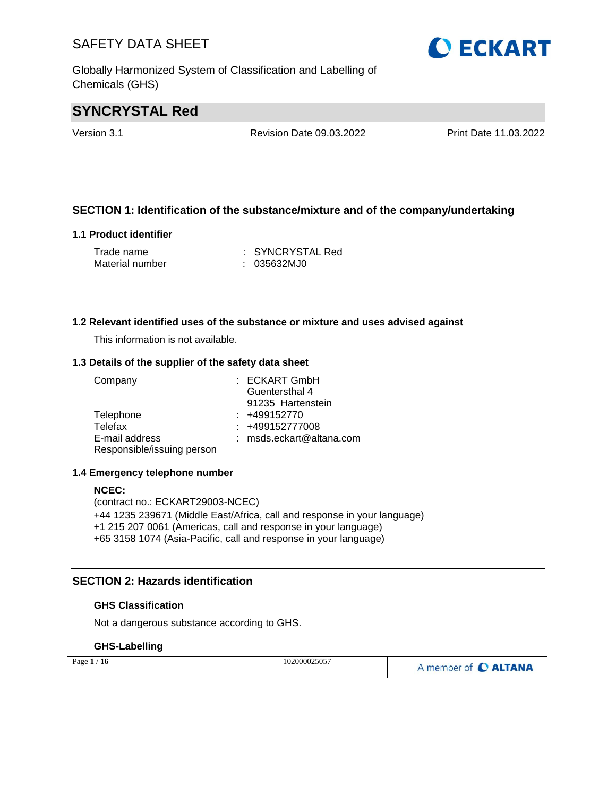Globally Harmonized System of Classification and Labelling of Chemicals (GHS)

# **SYNCRYSTAL Red**

Version 3.1 Revision Date 09.03.2022 Print Date 11.03.2022

### **SECTION 1: Identification of the substance/mixture and of the company/undertaking**

#### **1.1 Product identifier**

| Trade name      | : SYNCRYSTAL Red |
|-----------------|------------------|
| Material number | : 035632MJO      |

#### **1.2 Relevant identified uses of the substance or mixture and uses advised against**

This information is not available.

#### **1.3 Details of the supplier of the safety data sheet**

| Company                    | : ECKART GmbH            |
|----------------------------|--------------------------|
|                            | Guentersthal 4           |
|                            | 91235 Hartenstein        |
| Telephone                  | $: +499152770$           |
| Telefax                    | $: +499152777008$        |
| E-mail address             | : msds.eckart@altana.com |
| Responsible/issuing person |                          |

#### **1.4 Emergency telephone number**

#### **NCEC:**

(contract no.: ECKART29003-NCEC) +44 1235 239671 (Middle East/Africa, call and response in your language) +1 215 207 0061 (Americas, call and response in your language) +65 3158 1074 (Asia-Pacific, call and response in your language)

### **SECTION 2: Hazards identification**

#### **GHS Classification**

Not a dangerous substance according to GHS.

#### **GHS-Labelling**

| Page $1/16$ | 102000025057 | A member of C ALTANA |
|-------------|--------------|----------------------|
|-------------|--------------|----------------------|

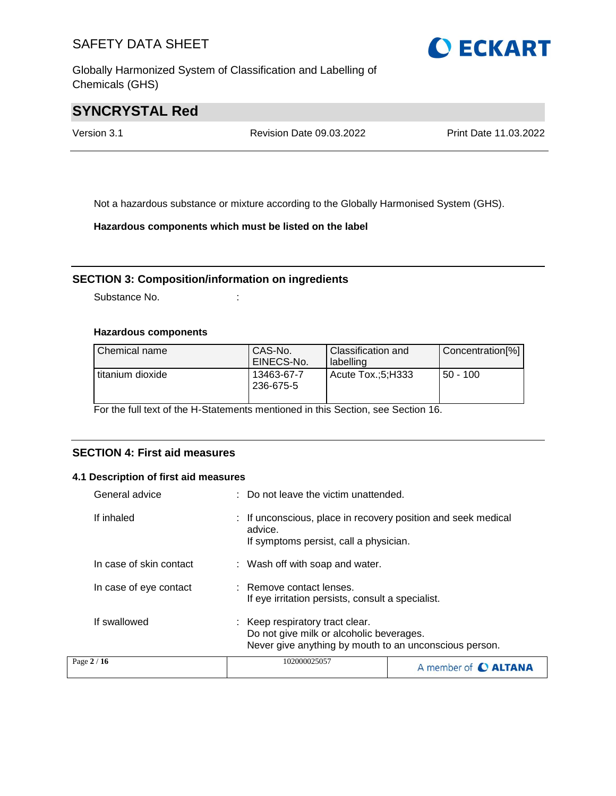Globally Harmonized System of Classification and Labelling of Chemicals (GHS)

# **SYNCRYSTAL Red**

Version 3.1 Revision Date 09.03.2022 Print Date 11.03.2022

Not a hazardous substance or mixture according to the Globally Harmonised System (GHS).

**Hazardous components which must be listed on the label**

#### **SECTION 3: Composition/information on ingredients**

Substance No. **:** :

#### **Hazardous components**

| Chemical name    | CAS-No.<br>EINECS-No.   | <b>Classification and</b><br>labelling | Concentration[%] |
|------------------|-------------------------|----------------------------------------|------------------|
| titanium dioxide | 13463-67-7<br>236-675-5 | Acute Tox.:5:H333                      | $50 - 100$       |

For the full text of the H-Statements mentioned in this Section, see Section 16.

### **SECTION 4: First aid measures**

#### **4.1 Description of first aid measures**

| General advice          | : Do not leave the victim unattended.                                                                                                 |  |
|-------------------------|---------------------------------------------------------------------------------------------------------------------------------------|--|
| If inhaled              | : If unconscious, place in recovery position and seek medical<br>advice.<br>If symptoms persist, call a physician.                    |  |
| In case of skin contact | : Wash off with soap and water.                                                                                                       |  |
| In case of eye contact  | : Remove contact lenses.<br>If eye irritation persists, consult a specialist.                                                         |  |
| If swallowed            | : Keep respiratory tract clear.<br>Do not give milk or alcoholic beverages.<br>Never give anything by mouth to an unconscious person. |  |
| Page 2 / 16             | 102000025057<br>A member of <b>C ALTANA</b>                                                                                           |  |

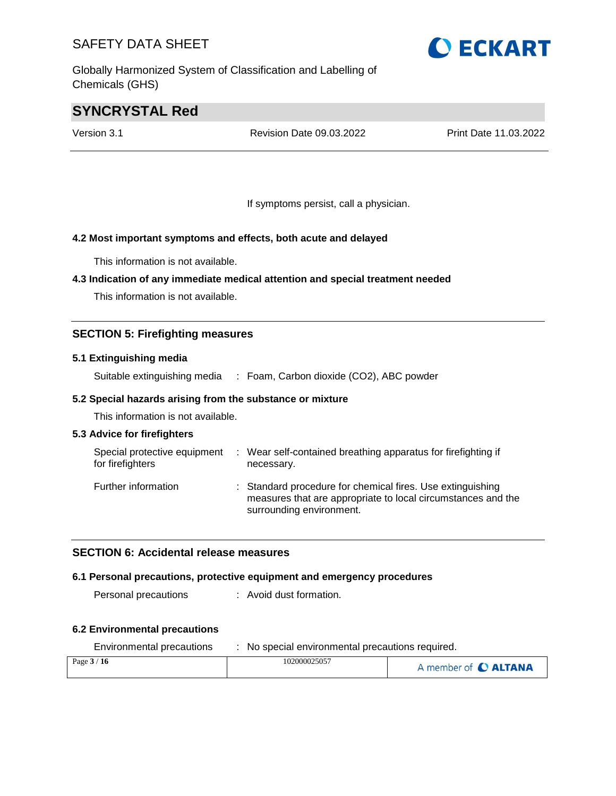Globally Harmonized System of Classification and Labelling of Chemicals (GHS)

# **SYNCRYSTAL Red**

Version 3.1 Revision Date 09.03.2022 Print Date 11.03.2022

If symptoms persist, call a physician.

### **4.2 Most important symptoms and effects, both acute and delayed**

This information is not available.

#### **4.3 Indication of any immediate medical attention and special treatment needed**

This information is not available.

### **SECTION 5: Firefighting measures**

#### **5.1 Extinguishing media**

Suitable extinguishing media : Foam, Carbon dioxide (CO2), ABC powder

#### **5.2 Special hazards arising from the substance or mixture**

This information is not available.

#### **5.3 Advice for firefighters**

| Special protective equipment<br>for firefighters | ÷ | Wear self-contained breathing apparatus for firefighting if<br>necessary.                                                                              |
|--------------------------------------------------|---|--------------------------------------------------------------------------------------------------------------------------------------------------------|
| Further information                              |   | : Standard procedure for chemical fires. Use extinguishing<br>measures that are appropriate to local circumstances and the<br>surrounding environment. |

#### **SECTION 6: Accidental release measures**

#### **6.1 Personal precautions, protective equipment and emergency procedures**

Personal precautions : Avoid dust formation.

#### **6.2 Environmental precautions**

| Environmental precaduons | The special environmental precaduons required. |                      |
|--------------------------|------------------------------------------------|----------------------|
| Page $3/16$              | 102000025057                                   | A member of C ALTANA |



Environmental precautions : No special environmental precautions required.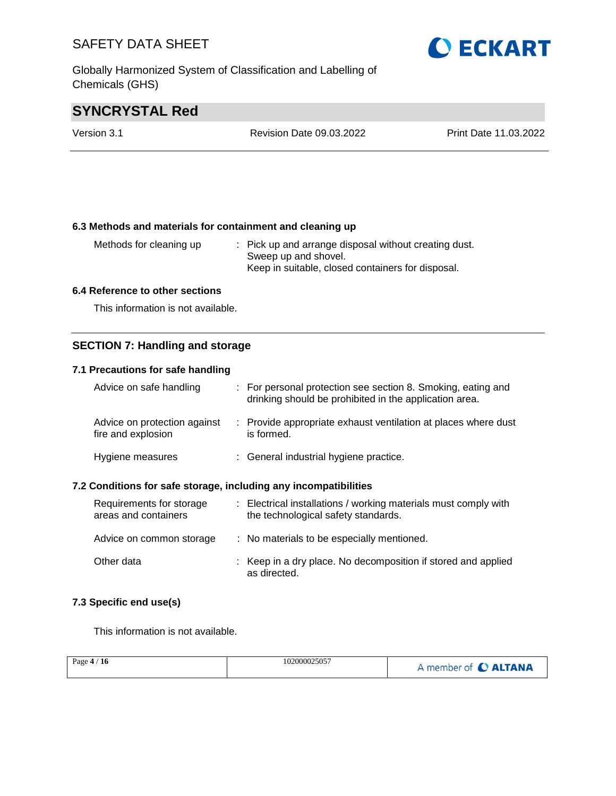Globally Harmonized System of Classification and Labelling of Chemicals (GHS)

# **O ECKART**

# **SYNCRYSTAL Red**

| Version 3.1 | Revision Date 09.03.2022 | Print Date 11.03.2022 |
|-------------|--------------------------|-----------------------|
|             |                          |                       |

#### **6.3 Methods and materials for containment and cleaning up**

| Methods for cleaning up | : Pick up and arrange disposal without creating dust. |
|-------------------------|-------------------------------------------------------|
|                         | Sweep up and shovel.                                  |
|                         | Keep in suitable, closed containers for disposal.     |

#### **6.4 Reference to other sections**

This information is not available.

### **SECTION 7: Handling and storage**

### **7.1 Precautions for safe handling**

| Advice on safe handling                            | : For personal protection see section 8. Smoking, eating and<br>drinking should be prohibited in the application area. |
|----------------------------------------------------|------------------------------------------------------------------------------------------------------------------------|
| Advice on protection against<br>fire and explosion | : Provide appropriate exhaust ventilation at places where dust<br>is formed.                                           |
| Hygiene measures                                   | : General industrial hygiene practice.                                                                                 |

#### **7.2 Conditions for safe storage, including any incompatibilities**

| Requirements for storage<br>areas and containers | : Electrical installations / working materials must comply with<br>the technological safety standards. |
|--------------------------------------------------|--------------------------------------------------------------------------------------------------------|
| Advice on common storage                         | : No materials to be especially mentioned.                                                             |
| Other data                                       | : Keep in a dry place. No decomposition if stored and applied<br>as directed.                          |

#### **7.3 Specific end use(s)**

This information is not available.

| Page $4/16$ | 102000025057 | A member of C ALTANA |
|-------------|--------------|----------------------|
|             |              |                      |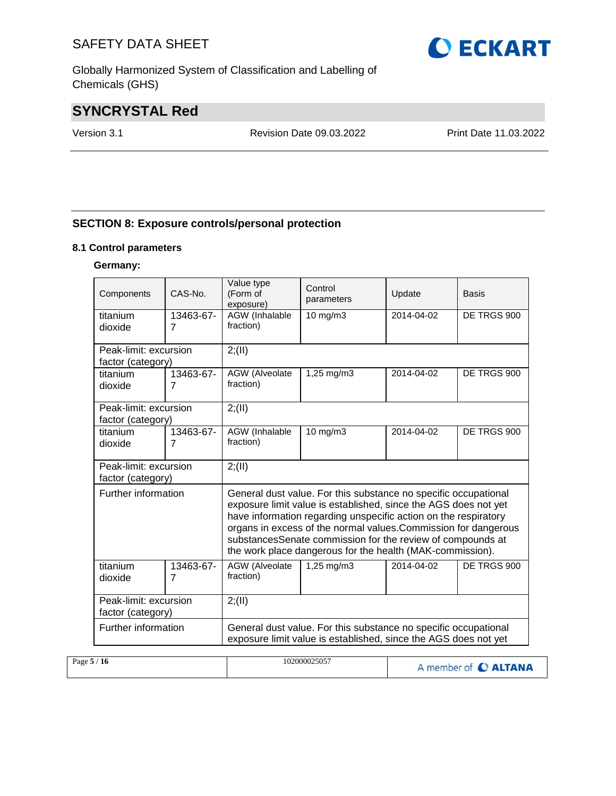Globally Harmonized System of Classification and Labelling of Chemicals (GHS)

# **SYNCRYSTAL Red**

Version 3.1 Revision Date 09.03.2022 Print Date 11.03.2022

## **SECTION 8: Exposure controls/personal protection**

#### **8.1 Control parameters**

#### **Germany:**

| Components                                 | $CAS-N0$ .                  | Value type<br>Control<br>(Form of<br>Update<br>parameters<br>exposure)                                                             |                                                                                                                                                                                                                                                                                                                                                                                                     | Basis      |             |  |
|--------------------------------------------|-----------------------------|------------------------------------------------------------------------------------------------------------------------------------|-----------------------------------------------------------------------------------------------------------------------------------------------------------------------------------------------------------------------------------------------------------------------------------------------------------------------------------------------------------------------------------------------------|------------|-------------|--|
| titanium<br>dioxide                        | 13463-67-<br>$\overline{7}$ | AGW (Inhalable<br>fraction)                                                                                                        | DE TRGS 900                                                                                                                                                                                                                                                                                                                                                                                         |            |             |  |
| Peak-limit: excursion<br>factor (category) |                             | 2; (II)                                                                                                                            |                                                                                                                                                                                                                                                                                                                                                                                                     |            |             |  |
| titanium<br>dioxide                        | 13463-67-<br>7              | AGW (Alveolate<br>fraction)                                                                                                        | DE TRGS 900                                                                                                                                                                                                                                                                                                                                                                                         |            |             |  |
| Peak-limit: excursion<br>factor (category) |                             | 2; (II)                                                                                                                            |                                                                                                                                                                                                                                                                                                                                                                                                     |            |             |  |
| titanium<br>dioxide                        | 13463-67-<br>$\overline{7}$ | <b>AGW</b> (Inhalable<br>fraction)                                                                                                 | DE TRGS 900                                                                                                                                                                                                                                                                                                                                                                                         |            |             |  |
| Peak-limit: excursion<br>factor (category) |                             | 2; (II)                                                                                                                            |                                                                                                                                                                                                                                                                                                                                                                                                     |            |             |  |
| Further information                        |                             |                                                                                                                                    | General dust value. For this substance no specific occupational<br>exposure limit value is established, since the AGS does not yet<br>have information regarding unspecific action on the respiratory<br>organs in excess of the normal values. Commission for dangerous<br>substancesSenate commission for the review of compounds at<br>the work place dangerous for the health (MAK-commission). |            |             |  |
| titanium<br>dioxide                        | 13463-67-<br>$\overline{7}$ | AGW (Alveolate<br>fraction)                                                                                                        | $1,25 \, \text{mg/m}$ 3                                                                                                                                                                                                                                                                                                                                                                             | 2014-04-02 | DE TRGS 900 |  |
| Peak-limit: excursion<br>factor (category) |                             | 2; (II)                                                                                                                            |                                                                                                                                                                                                                                                                                                                                                                                                     |            |             |  |
| Further information                        |                             | General dust value. For this substance no specific occupational<br>exposure limit value is established, since the AGS does not yet |                                                                                                                                                                                                                                                                                                                                                                                                     |            |             |  |

| Page $5/16$ | 102000025057 | A member of C ALTANA |
|-------------|--------------|----------------------|
|             |              |                      |

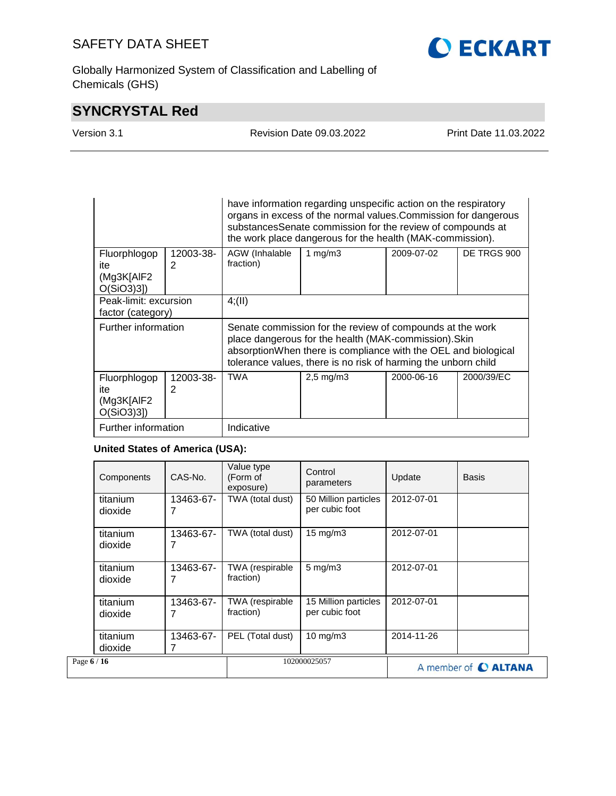Globally Harmonized System of Classification and Labelling of Chemicals (GHS)

# **SYNCRYSTAL Red**

| rsion 3.1 |  |  |
|-----------|--|--|
|           |  |  |

Version 3.1 Revision Date 09.03.2022 Print Date 11.03.2022

|                                                   |                | have information regarding unspecific action on the respiratory<br>organs in excess of the normal values. Commission for dangerous<br>substancesSenate commission for the review of compounds at<br>the work place dangerous for the health (MAK-commission). |                |            |             |  |
|---------------------------------------------------|----------------|---------------------------------------------------------------------------------------------------------------------------------------------------------------------------------------------------------------------------------------------------------------|----------------|------------|-------------|--|
| Fluorphlogop<br>ite                               | 12003-38-<br>2 | AGW (Inhalable<br>fraction)                                                                                                                                                                                                                                   | 1 mg/m $3$     | 2009-07-02 | DE TRGS 900 |  |
| (Mg3K[AIF2<br>$O(SiO3)3$ ]                        |                |                                                                                                                                                                                                                                                               |                |            |             |  |
| Peak-limit: excursion<br>factor (category)        |                | 4(11)                                                                                                                                                                                                                                                         |                |            |             |  |
| Further information                               |                | Senate commission for the review of compounds at the work<br>place dangerous for the health (MAK-commission). Skin<br>absorptionWhen there is compliance with the OEL and biological<br>tolerance values, there is no risk of harming the unborn child        |                |            |             |  |
| Fluorphlogop<br>ite<br>(Mg3K[AIF2<br>$O(SiO3)3$ ] | 12003-38-<br>2 | <b>TWA</b>                                                                                                                                                                                                                                                    | $2,5$ mg/m $3$ | 2000-06-16 | 2000/39/EC  |  |
| Further information                               |                | Indicative                                                                                                                                                                                                                                                    |                |            |             |  |

### **United States of America (USA):**

| Components          | CAS-No.        | Value type<br>(Form of<br>exposure) | Control<br>Update<br>parameters        |                      | <b>Basis</b> |
|---------------------|----------------|-------------------------------------|----------------------------------------|----------------------|--------------|
| titanium<br>dioxide | 13463-67-      | TWA (total dust)                    | 50 Million particles<br>per cubic foot | 2012-07-01           |              |
| titanium<br>dioxide | 13463-67-      | TWA (total dust)                    | $15 \text{ mg/m}$                      | 2012-07-01           |              |
| titanium<br>dioxide | 13463-67-      | TWA (respirable<br>fraction)        | $5$ mg/m $3$                           | 2012-07-01           |              |
| titanium<br>dioxide | 13463-67-<br>7 | TWA (respirable<br>fraction)        | 15 Million particles<br>per cubic foot | 2012-07-01           |              |
| titanium<br>dioxide | 13463-67-      | PEL (Total dust)                    | $10 \text{ mg/m}$                      | 2014-11-26           |              |
| Page 6 / 16         |                |                                     | 102000025057                           | A member of C ALTANA |              |

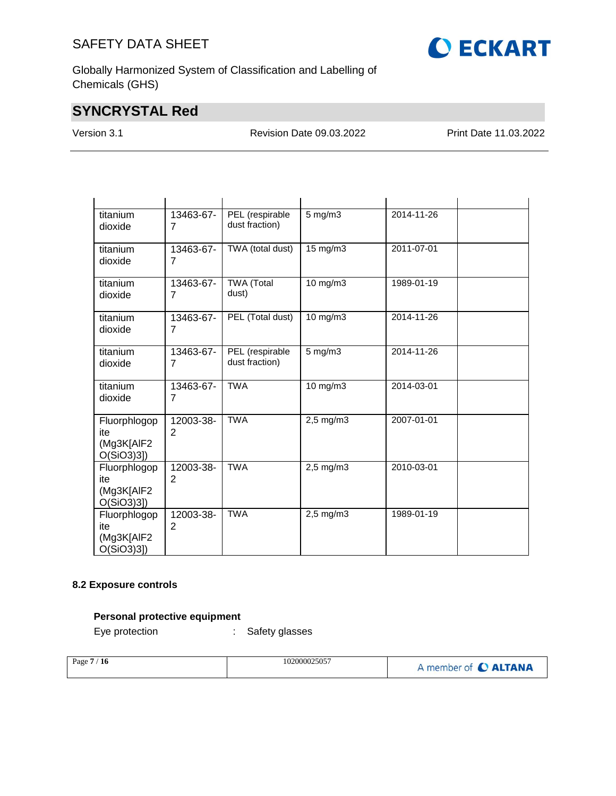

Globally Harmonized System of Classification and Labelling of Chemicals (GHS)

# **SYNCRYSTAL Red**

Version 3.1 Revision Date 09.03.2022 Print Date 11.03.2022

| titanium<br>dioxide                                | 13463-67-<br>7              | PEL (respirable<br>dust fraction) | $5$ mg/m $3$   | 2014-11-26 |  |
|----------------------------------------------------|-----------------------------|-----------------------------------|----------------|------------|--|
| titanium<br>dioxide                                | 13463-67-<br>7              | TWA (total dust)                  | 15 mg/m3       | 2011-07-01 |  |
| titanium<br>dioxide                                | 13463-67-<br>7              | <b>TWA</b> (Total<br>dust)        | 10 mg/m3       | 1989-01-19 |  |
| titanium<br>dioxide                                | 13463-67-<br>7              | PEL (Total dust)                  | 10 mg/m3       | 2014-11-26 |  |
| titanium<br>dioxide                                | 13463-67-<br>7              | PEL (respirable<br>dust fraction) | $5$ mg/m $3$   | 2014-11-26 |  |
| titanium<br>dioxide                                | 13463-67-<br>$\overline{7}$ | <b>TWA</b>                        | $10$ mg/m $3$  | 2014-03-01 |  |
| Fluorphlogop<br>ite<br>(Mg3K[AIF2<br>$O(SiO3)3$ ]) | 12003-38-<br>2              | <b>TWA</b>                        | $2,5$ mg/m $3$ | 2007-01-01 |  |
| Fluorphlogop<br>ite<br>(Mg3K[AIF2<br>$O(SiO3)3$ ]  | 12003-38-<br>$\overline{2}$ | <b>TWA</b>                        | $2,5$ mg/m $3$ | 2010-03-01 |  |
| Fluorphlogop<br>ite<br>(Mg3K[AIF2<br>$O(SiO3)3$ ]  | 12003-38-<br>2              | <b>TWA</b>                        | $2,5$ mg/m $3$ | 1989-01-19 |  |

### **8.2 Exposure controls**

### **Personal protective equipment**

Eye protection : Safety glasses

| Page $7/16$ | 102000025057 | A member of C ALTANA |
|-------------|--------------|----------------------|
|             |              |                      |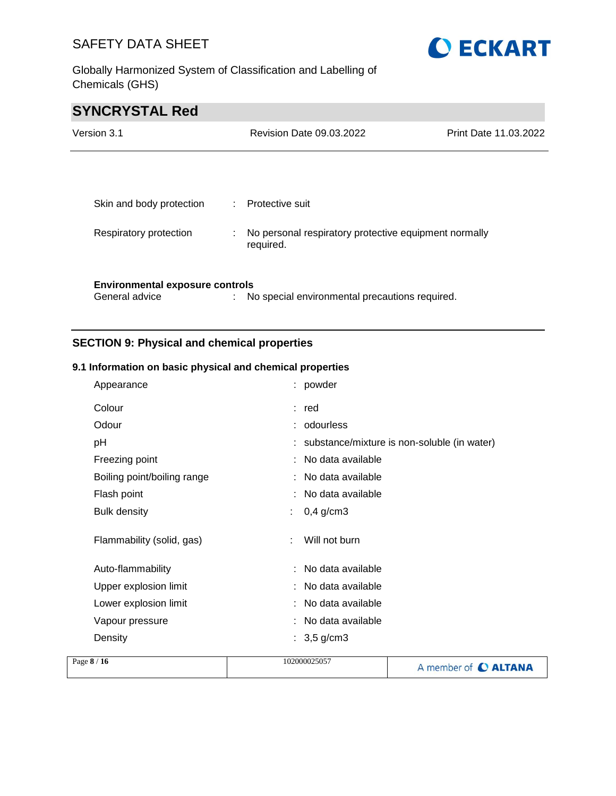Globally Harmonized System of Classification and Labelling of Chemicals (GHS)



# **SYNCRYSTAL Red**

| Version 3.1                                              |   | Revision Date 09.03.2022                                           | <b>Print Date 11.03.2022</b> |
|----------------------------------------------------------|---|--------------------------------------------------------------------|------------------------------|
|                                                          |   |                                                                    |                              |
| Skin and body protection                                 |   | : Protective suit                                                  |                              |
| Respiratory protection                                   | ÷ | No personal respiratory protective equipment normally<br>required. |                              |
| <b>Environmental exposure controls</b><br>General advice |   | No special environmental precautions required.                     |                              |

# **SECTION 9: Physical and chemical properties**

### **9.1 Information on basic physical and chemical properties**

| Appearance                  | : powder                                      |
|-----------------------------|-----------------------------------------------|
| Colour                      | : red                                         |
| Odour                       | : odourless                                   |
| pH                          | : substance/mixture is non-soluble (in water) |
| Freezing point              | No data available                             |
| Boiling point/boiling range | No data available                             |
| Flash point                 | No data available                             |
| <b>Bulk density</b>         | $0,4$ g/cm3                                   |
| Flammability (solid, gas)   | Will not burn                                 |
| Auto-flammability           | No data available                             |
| Upper explosion limit       | : No data available                           |
| Lower explosion limit       | No data available                             |
| Vapour pressure             | No data available                             |
| Density                     | : $3,5 \text{ g/cm}$ 3                        |
|                             |                                               |

| Page $8/16$ | 102000025057 | A member of C ALTANA |
|-------------|--------------|----------------------|
|             |              |                      |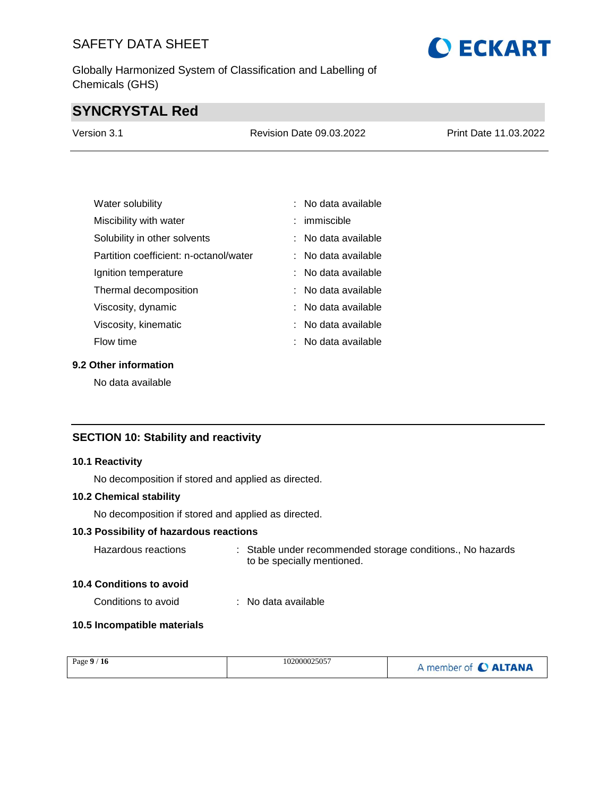Globally Harmonized System of Classification and Labelling of Chemicals (GHS)

# **SYNCRYSTAL Red**

| Version 3.1 | Revision Date 09.03.2022 | Print Date 11.03.2022 |
|-------------|--------------------------|-----------------------|
|             |                          |                       |

| Water solubility                       | : No data available   |
|----------------------------------------|-----------------------|
| Miscibility with water                 | : immiscible          |
| Solubility in other solvents           | : No data available   |
| Partition coefficient: n-octanol/water | $:$ No data available |
| Ignition temperature                   | : No data available   |
| Thermal decomposition                  | : No data available   |
| Viscosity, dynamic                     | No data available     |
| Viscosity, kinematic                   | : No data available   |
| <b>Flow time</b>                       | No data available     |

## **9.2 Other information**

No data available

### **SECTION 10: Stability and reactivity**

#### **10.1 Reactivity**

No decomposition if stored and applied as directed.

#### **10.2 Chemical stability**

No decomposition if stored and applied as directed.

### **10.3 Possibility of hazardous reactions**

| Hazardous reactions | . Stable under recommended storage conditions., No hazards |
|---------------------|------------------------------------------------------------|
|                     | to be specially mentioned.                                 |

#### **10.4 Conditions to avoid**

Conditions to avoid : No data available

### **10.5 Incompatible materials**

| Page $9/16$ | 102000025057 | A member of C ALTANA |
|-------------|--------------|----------------------|
|             |              |                      |

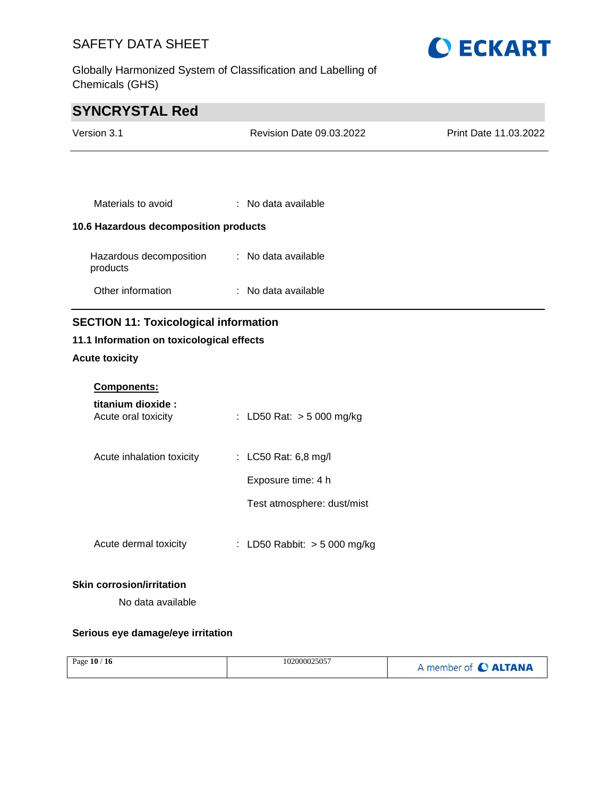Globally Harmonized System of Classification and Labelling of Chemicals (GHS)



# **SYNCRYSTAL Red**

| Version 3.1                                  | <b>Revision Date 09.03.2022</b> | Print Date 11.03.2022 |
|----------------------------------------------|---------------------------------|-----------------------|
|                                              |                                 |                       |
| Materials to avoid                           | : No data available             |                       |
| 10.6 Hazardous decomposition products        |                                 |                       |
| Hazardous decomposition<br>products          | : No data available             |                       |
| Other information                            | : No data available             |                       |
| <b>SECTION 11: Toxicological information</b> |                                 |                       |
| 11.1 Information on toxicological effects    |                                 |                       |

### **Acute toxicity**

| <b>Components:</b>                       |                                |
|------------------------------------------|--------------------------------|
| titanium dioxide:<br>Acute oral toxicity | : LD50 Rat: $>$ 5 000 mg/kg    |
| Acute inhalation toxicity                | : LC50 Rat: 6,8 mg/l           |
|                                          | Exposure time: 4 h             |
|                                          | Test atmosphere: dust/mist     |
| Acute dermal toxicity                    | : LD50 Rabbit: $>$ 5 000 mg/kg |

#### **Skin corrosion/irritation**

No data available

### **Serious eye damage/eye irritation**

| Page $10/16$ | 102000025057 | A member of C ALTANA |
|--------------|--------------|----------------------|
|--------------|--------------|----------------------|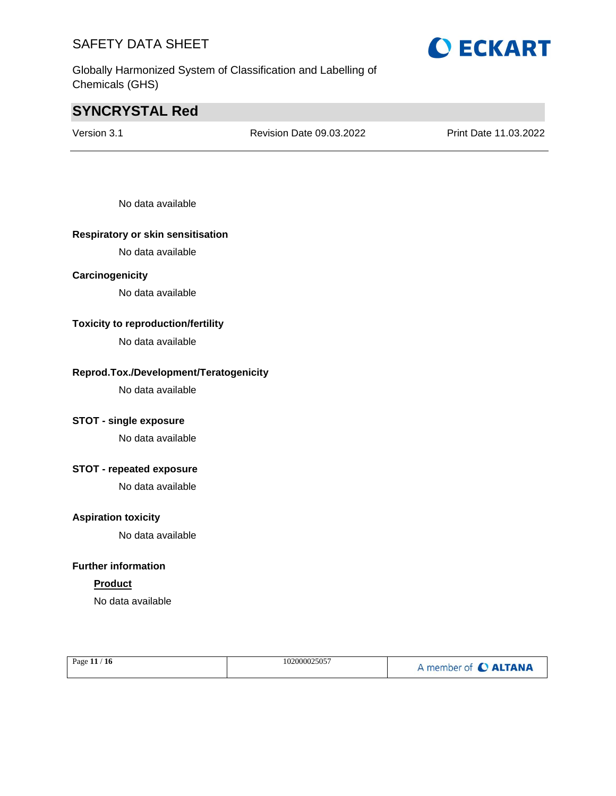Globally Harmonized System of Classification and Labelling of Chemicals (GHS)

# **SYNCRYSTAL Red**

Version 3.1 Revision Date 09.03.2022 Print Date 11.03.2022

No data available

#### **Respiratory or skin sensitisation**

No data available

#### **Carcinogenicity**

No data available

#### **Toxicity to reproduction/fertility**

No data available

#### **Reprod.Tox./Development/Teratogenicity**

No data available

### **STOT - single exposure**

No data available

### **STOT - repeated exposure**

No data available

#### **Aspiration toxicity**

No data available

#### **Further information**

### **Product**

No data available

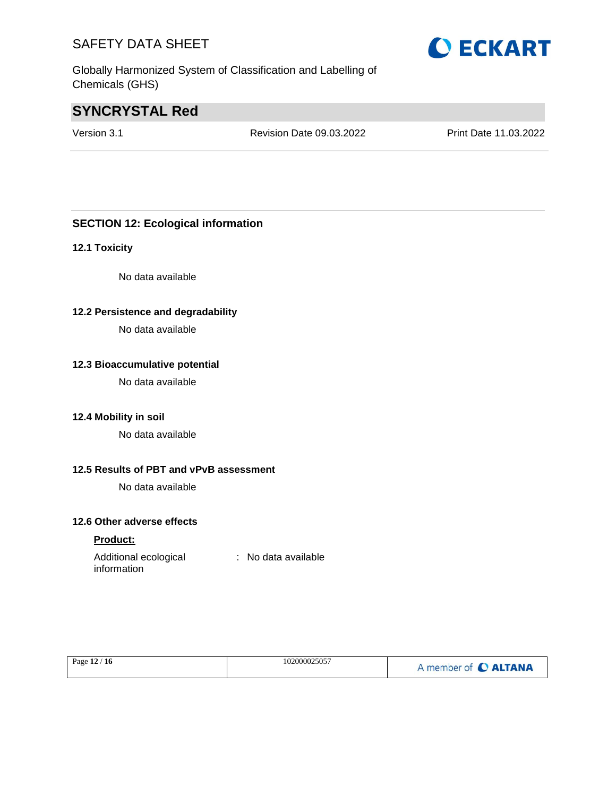Globally Harmonized System of Classification and Labelling of Chemicals (GHS)

# **SYNCRYSTAL Red**

Version 3.1 Revision Date 09.03.2022 Print Date 11.03.2022

### **SECTION 12: Ecological information**

#### **12.1 Toxicity**

No data available

#### **12.2 Persistence and degradability**

No data available

#### **12.3 Bioaccumulative potential**

No data available

#### **12.4 Mobility in soil**

No data available

### **12.5 Results of PBT and vPvB assessment**

No data available

### **12.6 Other adverse effects**

#### **Product:**

| Additional ecological | : No data available |
|-----------------------|---------------------|
| information           |                     |

| Page 12 / 16 | 102000025057 | A member of C ALTANA |
|--------------|--------------|----------------------|
|--------------|--------------|----------------------|

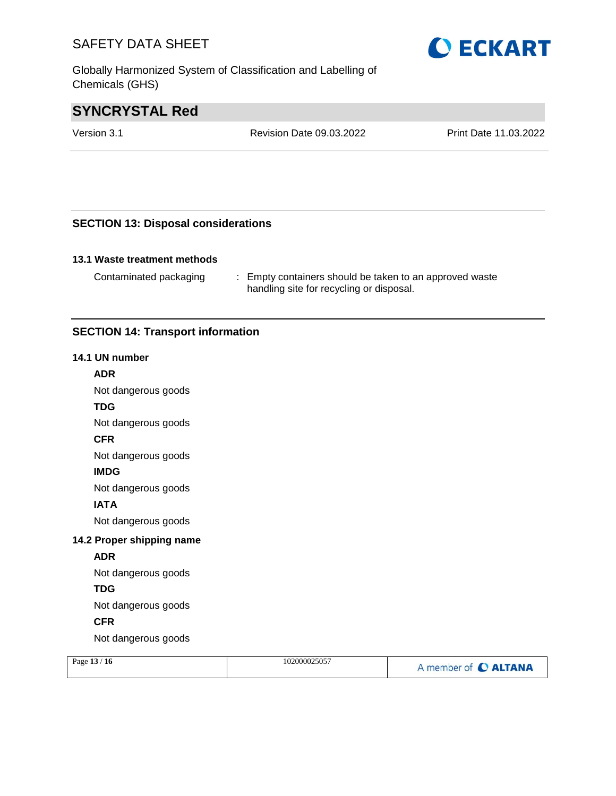Globally Harmonized System of Classification and Labelling of Chemicals (GHS)

# **SYNCRYSTAL Red**

Version 3.1 Revision Date 09.03.2022 Print Date 11.03.2022

### **SECTION 13: Disposal considerations**

### **13.1 Waste treatment methods**

Contaminated packaging : Empty containers should be taken to an approved waste handling site for recycling or disposal.

### **SECTION 14: Transport information**

#### **14.1 UN number**

#### **ADR**

Not dangerous goods

#### **TDG**

Not dangerous goods

#### **CFR**

Not dangerous goods

#### **IMDG**

Not dangerous goods

### **IATA**

Not dangerous goods

#### **14.2 Proper shipping name**

#### **ADR**

Not dangerous goods

### **TDG**

Not dangerous goods

### **CFR**

Not dangerous goods

| Page $13/16$ | 102000025057 | A member of C ALTANA |
|--------------|--------------|----------------------|
|              |              |                      |

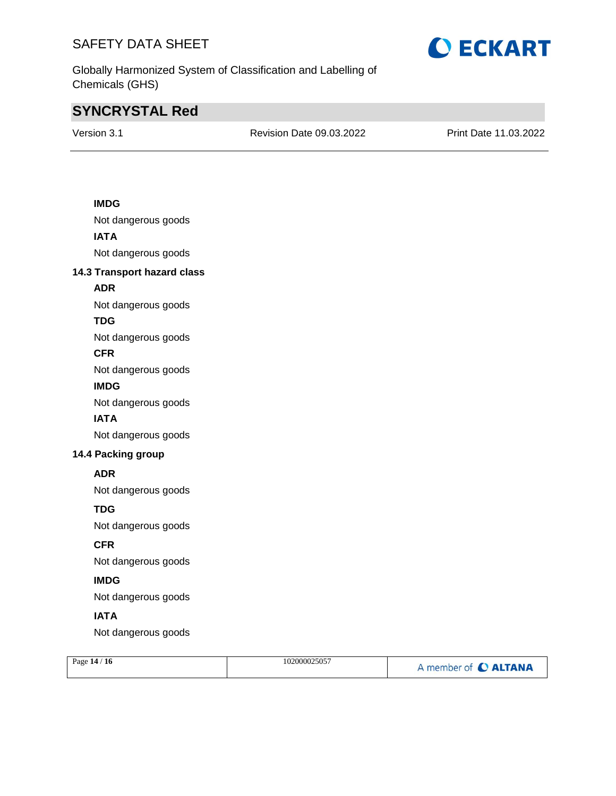

Globally Harmonized System of Classification and Labelling of Chemicals (GHS)

# **SYNCRYSTAL Red**

Version 3.1 Revision Date 09.03.2022 Print Date 11.03.2022

### **IMDG**

Not dangerous goods **IATA** Not dangerous goods

#### **14.3 Transport hazard class**

### **ADR**

Not dangerous goods

### **TDG**

Not dangerous goods

#### **CFR**

Not dangerous goods

#### **IMDG**

Not dangerous goods

#### **IATA**

Not dangerous goods

### **14.4 Packing group**

#### **ADR**

Not dangerous goods

### **TDG**

Not dangerous goods

### **CFR**

Not dangerous goods

### **IMDG**

Not dangerous goods

### **IATA**

Not dangerous goods

| Page 14 / 16 | 102000025057 | A member of C ALTANA |
|--------------|--------------|----------------------|
|              |              |                      |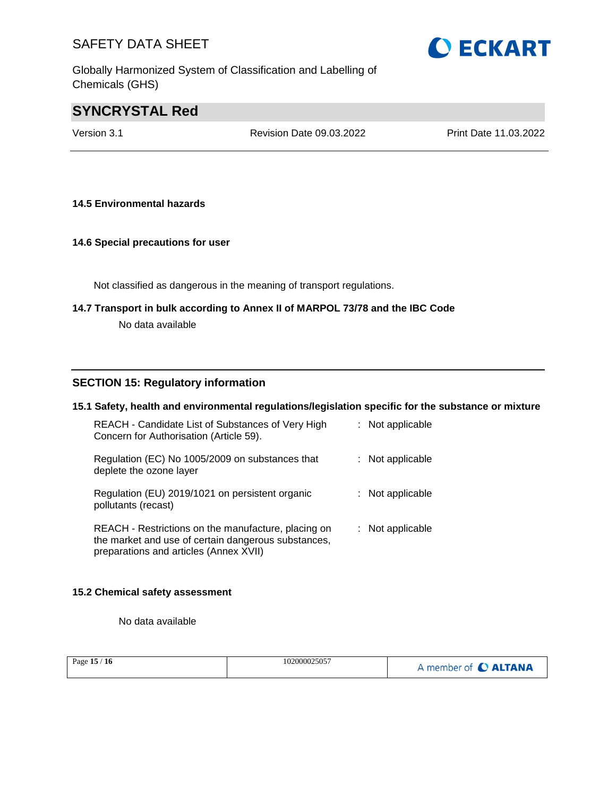Globally Harmonized System of Classification and Labelling of Chemicals (GHS)

# **SYNCRYSTAL Red**

Version 3.1 Revision Date 09.03.2022 Print Date 11.03.2022

#### **14.5 Environmental hazards**

#### **14.6 Special precautions for user**

Not classified as dangerous in the meaning of transport regulations.

# **14.7 Transport in bulk according to Annex II of MARPOL 73/78 and the IBC Code**

No data available

#### **SECTION 15: Regulatory information**

#### **15.1 Safety, health and environmental regulations/legislation specific for the substance or mixture**

| REACH - Candidate List of Substances of Very High<br>Concern for Authorisation (Article 59).                                                         | $:$ Not applicable |
|------------------------------------------------------------------------------------------------------------------------------------------------------|--------------------|
| Regulation (EC) No 1005/2009 on substances that<br>deplete the ozone layer                                                                           | : Not applicable   |
| Regulation (EU) 2019/1021 on persistent organic<br>pollutants (recast)                                                                               | $:$ Not applicable |
| REACH - Restrictions on the manufacture, placing on<br>the market and use of certain dangerous substances,<br>preparations and articles (Annex XVII) | : Not applicable   |

#### **15.2 Chemical safety assessment**

No data available

|--|